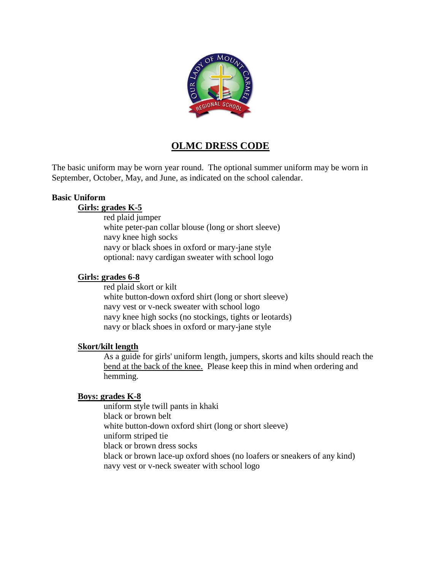

# **OLMC DRESS CODE**

The basic uniform may be worn year round. The optional summer uniform may be worn in September, October, May, and June, as indicated on the school calendar.

#### **Basic Uniform**

#### **Girls: grades K-5**

red plaid jumper white peter-pan collar blouse (long or short sleeve) navy knee high socks navy or black shoes in oxford or mary-jane style optional: navy cardigan sweater with school logo

#### **Girls: grades 6-8**

red plaid skort or kilt white button-down oxford shirt (long or short sleeve) navy vest or v-neck sweater with school logo navy knee high socks (no stockings, tights or leotards) navy or black shoes in oxford or mary-jane style

#### **Skort/kilt length**

As a guide for girls' uniform length, jumpers, skorts and kilts should reach the bend at the back of the knee. Please keep this in mind when ordering and hemming.

#### **Boys: grades K-8**

uniform style twill pants in khaki black or brown belt white button-down oxford shirt (long or short sleeve) uniform striped tie black or brown dress socks black or brown lace-up oxford shoes (no loafers or sneakers of any kind) navy vest or v-neck sweater with school logo